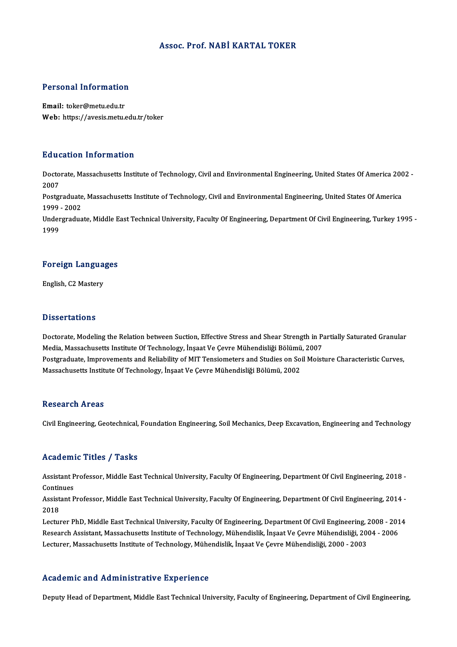## Assoc. Prof.NABİ KARTAL TOKER

# Personal Information

Personal Information<br>Email: toker@metu.edu.tr<br>Web: https://avesis.mstv Email: toker@metu.edu.tr<br>Web: https://avesis.metu.edu.tr/toker

## Education Information

**Education Information**<br>Doctorate, Massachusetts Institute of Technology, Civil and Environmental Engineering, United States Of America 2002 -<br>2007 Data<br>Docto<br>2007 Doctorate, Massachusetts Institute of Technology, Civil and Environmental Engineering, United States Of America 200<br>2007<br>Postgraduate, Massachusetts Institute of Technology, Civil and Environmental Engineering, United Stat

2007<br>Postgraduate<br>1999 - 2002<br>Undergradua Postgraduate, Massachusetts Institute of Technology, Civil and Environmental Engineering, United States Of America<br>1999 - 2002<br>Undergraduate, Middle East Technical University, Faculty Of Engineering, Department Of Civil En

1999 - 2002<br>Undergraduate, Middle East Technical University, Faculty Of Engineering, Department Of Civil Engineering, Turkey 1995 -<br>1999

## 1<sup>999</sup><br>Foreign Languages F<mark>oreign Langua</mark><br>English, C2 Mastery

English, C2 Mastery<br>Dissertations

Dissertations<br>Doctorate, Modeling the Relation between Suction, Effective Stress and Shear Strength in Partially Saturated Granular<br>Modia Massashuestts Institute Of Technology, Inseet Ve Ceyre Mühendisliği Pölümü, 2007 Media, Modeling the Relation between Suction, Effective Stress and Shear Strength in P.<br>Media, Massachusetts Institute Of Technology, İnşaat Ve Çevre Mühendisliği Bölümü, 2007<br>Postsraduata Improvements and Boliability of M Doctorate, Modeling the Relation between Suction, Effective Stress and Shear Strength in Partially Saturated Granular<br>Media, Massachusetts Institute Of Technology, İnşaat Ve Çevre Mühendisliği Bölümü, 2007<br>Postgraduate, Im Media, Massachusetts Institute Of Technology, İnşaat Ve Çevre Mühendisliği Bölümü<br>Postgraduate, Improvements and Reliability of MIT Tensiometers and Studies on So:<br>Massachusetts Institute Of Technology, İnşaat Ve Çevre Müh Massachusetts Institute Of Technology, İnşaat Ve Çevre Mühendisliği Bölümü, 2002<br>Research Areas

Civil Engineering, Geotechnical, Foundation Engineering, Soil Mechanics, Deep Excavation, Engineering and Technology

## Academic Titles / Tasks

Academic Titles / Tasks<br>Assistant Professor, Middle East Technical University, Faculty Of Engineering, Department Of Civil Engineering, 2018 -<br>Continues Assistant P<br>Continues<br>Assistant P Assistant Professor, Middle East Technical University, Faculty Of Engineering, Department Of Civil Engineering, 2018 -<br>Continues<br>Assistant Professor, Middle East Technical University, Faculty Of Engineering, Department Of

Contin<br>Assist<br>2018<br>Lectur Assistant Professor, Middle East Technical University, Faculty Of Engineering, Department Of Civil Engineering, 2014 -<br>2018<br>Lecturer PhD, Middle East Technical University, Faculty Of Engineering, Department Of Civil Engine

2018<br>Lecturer PhD, Middle East Technical University, Faculty Of Engineering, Department Of Civil Engineering, 2008 - 201<br>Research Assistant, Massachusetts Institute of Technology, Mühendislik, İnşaat Ve Çevre Mühendisliği, Lecturer PhD, Middle East Technical University, Faculty Of Engineering, Department Of Civil Engineering, 2<br>Research Assistant, Massachusetts Institute of Technology, Mühendislik, İnşaat Ve Çevre Mühendisliği, 200<br>Lecturer, Lecturer, Massachusetts Institute of Technology, Mühendislik, İnşaat Ve Çevre Mühendisliği, 2000 - 2003<br>Academic and Administrative Experience

Deputy Head of Department, Middle East Technical University, Faculty of Engineering, Department of Civil Engineering,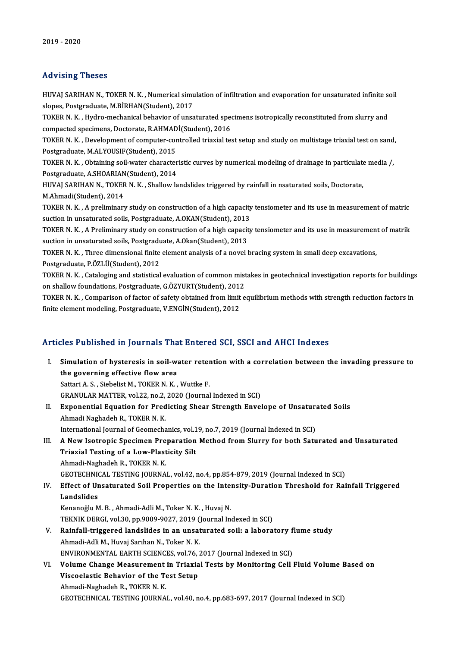## Advising Theses

Advising Theses<br>HUVAJ SARIHAN N., TOKER N. K. , Numerical simulation of infiltration and evaporation for unsaturated infinite soil<br>slapes. Postsreduate. M.P.P.H.A.N(Student), 2017 slopes, Postgraduate, N.R., Numerical simi<br>Slopes, Postgraduate, M.BİRHAN(Student), 2017<br>TOKER N.K., Hydro, mechanical behavior of unce HUVAJ SARIHAN N., TOKER N. K. , Numerical simulation of infiltration and evaporation for unsaturated infinite so<br>slopes, Postgraduate, M.BİRHAN(Student), 2017<br>TOKER N. K. , Hydro-mechanical behavior of unsaturated specimen

slopes, Postgraduate, M.BİRHAN(Student), 2017<br>TOKER N. K. , Hydro-mechanical behavior of unsaturated spec<br>compacted specimens, Doctorate, R.AHMADİ(Student), 2016<br>TOKER N. K., Dovelopment of computer controlled triavial to TOKER N. K. , Hydro-mechanical behavior of unsaturated specimens isotropically reconstituted from slurry and<br>compacted specimens, Doctorate, R.AHMADİ(Student), 2016<br>TOKER N. K. , Development of computer-controlled triaxial

compacted specimens, Doctorate, R.AHMADİ(Student), 2016<br>TOKER N. K. , Development of computer-controlled triaxial test setup and study on multistage triaxial test on sand,<br>Postgraduate, M.ALYOUSIF(Student), 2015 TOKER N. K. , Development of computer-controlled triaxial test setup and study on multistage triaxial test on sand<br>Postgraduate, M.ALYOUSIF(Student), 2015<br>TOKER N. K. , Obtaining soil-water characteristic curves by numeric

Postgraduate, M.ALYOUSIF(Student), 2015<br>TOKER N. K. , Obtaining soil-water character<br>Postgraduate, A.SHOARIAN(Student), 2014<br>HUVALSARIHAN N. TOKER N. K., Shallow la TOKER N. K. , Obtaining soil-water characteristic curves by numerical modeling of drainage in particulate<br>Postgraduate, A.SHOARIAN(Student), 2014<br>HUVAJ SARIHAN N., TOKER N. K. , Shallow landslides triggered by rainfall in

Postgraduate, A.SHOARIAN(Student), 2014<br>HUVAJ SARIHAN N., TOKER N. K. , Shallow landslides triggered by rainfall in nsaturated soils, Doctorate,<br>M.Ahmadi(Student), 2014 HUVAJ SARIHAN N., TOKER N. K. , Shallow landslides triggered by rainfall in nsaturated soils, Doctorate,<br>M.Ahmadi(Student), 2014<br>TOKER N. K. , A preliminary study on construction of a high capacity tensiometer and its use

M.Ahmadi(Student), 2014<br>TOKER N. K. , A preliminary study on construction of a high capacity<br>suction in unsaturated soils, Postgraduate, A.OKAN(Student), 2013<br>TOKER N. K. , A Preliminary study on construction of a high cap TOKER N. K. , A preliminary study on construction of a high capacity tensiometer and its use in measurement of matric<br>suction in unsaturated soils, Postgraduate, A.OKAN(Student), 2013<br>TOKER N. K. , A Preliminary study on c

suction in unsaturated soils, Postgraduate, A.OKAN(Student), 2013<br>TOKER N. K. , A Preliminary study on construction of a high capacit<br>suction in unsaturated soils, Postgraduate, A.Okan(Student), 2013<br>TOKER N. K.... Three d TOKER N. K. , A Preliminary study on construction of a high capacity tensiometer and its use in measurement<br>suction in unsaturated soils, Postgraduate, A.Okan(Student), 2013<br>TOKER N. K. , Three dimensional finite element a

suction in unsaturated soils, Postgraduate, A.Okan(Student), 2013<br>TOKER N. K. , Three dimensional finite element analysis of a novel bracing system in small deep excavations,<br>Postgraduate, P.ÖZLÜ(Student), 2012 TOKER N. K. , Three dimensional finite element analysis of a novel bracing system in small deep excavations,<br>Postgraduate, P.ÖZLÜ(Student), 2012<br>TOKER N. K. , Cataloging and statistical evaluation of common mistakes in geo

Postgraduate, P.ÖZLÜ(Student), 2012<br>TOKER N. K. , Cataloging and statistical evaluation of common mist<br>on shallow foundations, Postgraduate, G.ÖZYURT(Student), 2012<br>TOKER N. K., Comparison of faster of safety obtained from TOKER N. K. , Cataloging and statistical evaluation of common mistakes in geotechnical investigation reports for buildings<br>on shallow foundations, Postgraduate, G.ÖZYURT(Student), 2012<br>TOKER N. K. , Comparison of factor of

on shallow foundations, Postgraduate, G.ÖZYURT(Student), 2012<br>TOKER N. K. , Comparison of factor of safety obtained from limit<br>finite element modeling, Postgraduate, V.ENGİN(Student), 2012 finite element modeling, Postgraduate, V.ENGİN(Student), 2012<br>Articles Published in Journals That Entered SCI, SSCI and AHCI Indexes

I. Simulation of hysteresis in soil-water retention with a correlation between the invading pressure to the governing effective flowarea Sattari A.S., Siebelist M., TOKER N.K., Wuttke F. GRANULAR MATTER, vol.22, no.2, 2020 (Journal Indexed in SCI) Sattari A. S., Siebelist M., TOKER N. K., Wuttke F.<br>GRANULAR MATTER, vol.22, no.2, 2020 (Journal Indexed in SCI)<br>II. Exponential Equation for Predicting Shear Strength Envelope of Unsaturated Soils<br>Ahmedi Naghadah B. TOKER GRANULAR MATTER, vol.22, no.2,<br>Exponential Equation for Pred<br>Ahmadi Naghadeh R., TOKER N. K.<br>International Journal of Coomecha Exponential Equation for Predicting Shear Strength Envelope of Unsatura<br>Ahmadi Naghadeh R., TOKER N. K.<br>International Journal of Geomechanics, vol.19, no.7, 2019 (Journal Indexed in SCI)<br>A Now Isotropis Spesimer Preparatio Ahmadi Naghadeh R., TOKER N. K.<br>International Journal of Geomechanics, vol.19, no.7, 2019 (Journal Indexed in SCI)<br>III. A New Isotropic Specimen Preparation Method from Slurry for both Saturated and Unsaturated<br>Triavial Te International Journal of Geomechanics, vol.1<br>A New Isotropic Specimen Preparation<br>Triaxial Testing of a Low-Plasticity Silt<br>Ahmadi Naghadah B, TOKEP N, K A New Isotropic Specimen Pre<br>Triaxial Testing of a Low-Plast<br>Ahmadi-Naghadeh R., TOKER N.K.<br>CEOTECHNICAL TESTING JOUPNA Triaxial Testing of a Low-Plasticity Silt<br>Ahmadi-Naghadeh R., TOKER N. K.<br>GEOTECHNICAL TESTING JOURNAL, vol.42, no.4, pp.854-879, 2019 (Journal Indexed in SCI)<br>Effect of Ungeturated Soil Properties on the Intensity Duratio Ahmadi-Naghadeh R., TOKER N. K.<br>GEOTECHNICAL TESTING JOURNAL, vol.42, no.4, pp.854-879, 2019 (Journal Indexed in SCI)<br>IV. Effect of Unsaturated Soil Properties on the Intensity-Duration Threshold for Rainfall Triggered<br>Lan GEOTECHNIC<br>Effect of Ur<br>Landslides<br>Kenanoğlu M Kenanoğlu M. B., Ahmadi-Adli M., Toker N. K., Huvaj N. TEKNIK DERGI, vol.30, pp.9009-9027, 2019 (Journal Indexed in SCI) Kenanoğlu M. B., Ahmadi-Adli M., Toker N. K., Huvaj N.<br>TEKNIK DERGI, vol.30, pp.9009-9027, 2019 (Journal Indexed in SCI)<br>V. Rainfall-triggered landslides in an unsaturated soil: a laboratory flume study<br>Ahmadi Adli M. Huvo Ahmadi-Adli M., Huvaj Sarıhan N., Toker N. K.<br>ENVIRONMENTAL EARTH SCIENCES, vol.76, 2017 (Journal Indexed in SCI) Rainfall-triggered landslides in an unsaturated soil: a laboratory f<br>Ahmadi-Adli M., Huvaj Sarıhan N., Toker N. K.<br>ENVIRONMENTAL EARTH SCIENCES, vol.76, 2017 (Journal Indexed in SCI)<br>Volume Change Measurement in Triavial T VI. Volume Change Measurement in Triaxial Tests by Monitoring Cell Fluid Volume Based on ENVIRONMENTAL EARTH SCIENCES, vol.76, Notation<br>Volume Change Measurement in Triaxia<br>Viscoelastic Behavior of the Test Setup **Volume Change Measurement<br>Viscoelastic Behavior of the T<br>Ahmadi-Naghadeh R., TOKER N. K.<br>CEOTECHNICAL TESTING JOUPNA** Ahmadi-Naghadeh R., TOKER N. K.<br>GEOTECHNICAL TESTING JOURNAL, vol.40, no.4, pp.683-697, 2017 (Journal Indexed in SCI)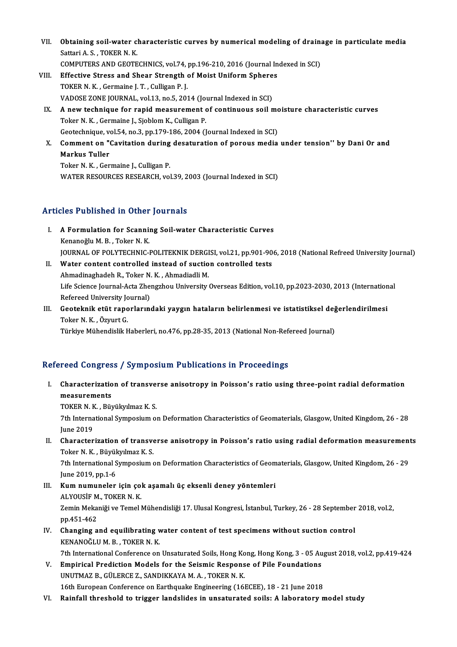- VII. Obtaining soil-water characteristic curves by numerical modeling of drainage in particulate media<br>Setteri A.S., TOVER N.V. **Obtaining soil-water c**<br>Sattari A.S., TOKER N.K.<br>COMBUTERS AND CEOTE Obtaining soil-water characteristic curves by numerical modeling of drain:<br>Sattari A. S., TOKER N. K.<br>COMPUTERS AND GEOTECHNICS, vol.74, pp.196-210, 2016 (Journal Indexed in SCI)<br>Effective Strees and Sheer Strength of Mois Sattari A. S., TOKER N. K.<br>COMPUTERS AND GEOTECHNICS, vol.74, pp.196-210, 2016 (Journal In<br>VIII. Effective Stress and Shear Strength of Moist Uniform Spheres<br>TOVER N. K., Commaine L.T., Culligan R. L.
- COMPUTERS AND GEOTECHNICS, vol.74, pp.196-210, 2016 (Journal Indexed in SCI)<br>Effective Stress and Shear Strength of Moist Uniform Spheres<br>TOKER N. K., Germaine J. T., Culligan P. J.<br>VADOSE ZONE JOURNAL, vol.13, no.5, 2014 Effective Stress and Shear Strength of Moist Uniform Sphere<br>TOKER N. K., Germaine J. T., Culligan P. J.<br>VADOSE ZONE JOURNAL, vol.13, no.5, 2014 (Journal Indexed in SCI)<br>A new technique for repid measurement of sentinuous s TOKER N. K. , Germaine J. T. , Culligan P. J.<br>VADOSE ZONE JOURNAL, vol.13, no.5, 2014 (Journal Indexed in SCI)<br>IX. A new technique for rapid measurement of continuous soil moisture characteristic curves<br>Teker N. K. Cermain
- VADOSE ZONE JOURNAL, vol.13, no.5, 2014 (Journal of Allian Contractor Toker N.K., Germaine J., Sjoblom K., Culligan P. A new technique for rapid measurement of continuous soil more Toker N. K., Germaine J., Sjoblom K., Culligan P.<br>Geotechnique, vol.54, no.3, pp.179-186, 2004 (Journal Indexed in SCI)<br>Comment on "Covitation during desaturati Toker N. K. , Germaine J., Sjoblom K., Culligan P.<br>Geotechnique, vol.54, no.3, pp.179-186, 2004 (Journal Indexed in SCI)<br>X. Comment on "Cavitation during desaturation of porous media under tension'' by Dani Or and<br>Markus T
- Geotechnique, ve<br>Comment on "<br>Markus Tuller<br>Teker N. K., Cer Comment on "Cavitation during<br>Markus Tuller<br>Toker N. K. , Germaine J., Culligan P.<br>WATER RESOURCES RESEARCH .vol

Markus Tuller<br>Toker N. K. , Germaine J., Culligan P.<br>WATER RESOURCES RESEARCH, vol.39, 2003 (Journal Indexed in SCI)

## Articles Published in Other Journals

- rticles Published in Other Journals<br>I. A Formulation for Scanning Soil-water Characteristic Curves<br>Kananağlu M.P. Tekan N.K. Kenanoğlu M.B. , Toker<br>Kenanoğlu M.B. , Toker N.K.<br>KOUPMAL OF POLYTECHNIC I A Formulation for Scanning Soil-water Characteristic Curves<br>Kenanoğlu M. B. , Toker N. K.<br>JOURNAL OF POLYTECHNIC-POLITEKNIK DERGISI, vol.21, pp.901-906, 2018 (National Refreed University Journal)<br>Water content controlled i Kenanoğlu M. B., Toker N. K.<br>JOURNAL OF POLYTECHNIC-POLITEKNIK DERGISI, vol.21, pp.901-90<br>II. Water content controlled instead of suction controlled tests<br>Ahmadinaghadeh R., Toker N. K., Ahmadiadli M.
- JOURNAL OF POLYTECHNIC-POLITEKNIK DERGI<br>Water content controlled instead of suctio<br>Ahmadinaghadeh R., Toker N. K. , Ahmadiadli M.<br>Life Science Journal Acta Zhengrhou University Water content controlled instead of suction controlled tests<br>Ahmadinaghadeh R., Toker N. K. , Ahmadiadli M.<br>Life Science Journal-Acta Zhengzhou University Overseas Edition, vol.10, pp.2023-2030, 2013 (International<br>Referee Ahmadinaghadeh R., Toker N.<br>Life Science Journal-Acta Zhe<br>Refereed University Journal)<br>Cooteknik etüt ranorlarını Refereed University Journal)
- III. Geoteknik etüt raporlarındaki yaygın hataların belirlenmesi ve istatistiksel değerlendirilmesi<br>Toker N. K., Özyurt G. Türkiye Mühendislik Haberleri, no.476, pp.28-35, 2013 (National Non-Refereed Journal)

## Refereed Congress / Symposium Publications in Proceedings

efereed Congress / Symposium Publications in Proceedings<br>I. Characterization of transverse anisotropy in Poisson's ratio using three-point radial deformation<br>measurements reed congres<br>Characterizatio<br>measurements<br>TOKER N.K. Piv Characterization of transve:<br>measurements<br>TOKER N. K. , Büyükyılmaz K. S.<br><sup>7th International Sumnagium al</sup>

TOKER N. K., Büyükyılmaz K. S.

measurements<br>TOKER N. K. , Büyükyılmaz K. S.<br>7th International Symposium on Deformation Characteristics of Geomaterials, Glasgow, United Kingdom, 26 - 28<br>June 2019 The International Symposium on Deformation Characteristics of Geomaterials, Glasgow, United Kingdom, 26 - 28<br>June 2019<br>II. Characterization of transverse anisotropy in Poisson's ratio using radial deformation measurements<br>

June 2019<br>Characterization of transve<br>Toker N. K. , Büyükyılmaz K. S.<br><sup>7th International Sumnosium</sup> é Characterization of transverse anisotropy in Poisson's ratio using radial deformation measurement<br>Toker N. K. , Büyükyılmaz K. S.<br>7th International Symposium on Deformation Characteristics of Geomaterials, Glasgow, United

Toker N. K. , Büyükyılmaz K. S.<br>7th International Symposium on Deformation Characteristics of Geomaterials, Glasgow, United Kingdom, 26 - 29<br>June 2019, pp.1-6 Tth International Symposium on Deformation Characteristics of Geom<br>June 2019, pp.1-6<br>III. Kum numuneler için çok aşamalı üç eksenli deney yöntemleri<br>ALVOUSIEM TOKER N K

- June 2019, pp.1-6<br><mark>Kum numuneler için ço</mark>l<br>ALYOUSİF M., TOKER N. K.<br>Zamin Makaniği ve Tamal l Kum numuneler için çok aşamalı üç eksenli deney yöntemleri<br>ALYOUSİF M., TOKER N. K.<br>Zemin Mekaniği ve Temel Mühendisliği 17. Ulusal Kongresi, İstanbul, Turkey, 26 - 28 September 2018, vol.2,<br>nn 451 462 ALYOUSİF M<br>Zemin Meka<br>pp.451-462<br>Changing e Zemin Mekaniği ve Temel Mühendisliği 17. Ulusal Kongresi, İstanbul, Turkey, 26 - 28 September<br>pp.451-462<br>IV. Changing and equilibrating water content of test specimens without suction control<br>EXEMANOČLUM B. TOKER N.K.
- pp.451-462<br>Changing and equilibrating v<br>KENANOĞLUM. B. , TOKER N. K.<br><sup>7th Intornational Conference on</sup> Changing and equilibrating water content of test specimens without suction control<br>KENANOĞLU M. B., TOKER N. K.<br>7th International Conference on Unsaturated Soils, Hong Kong, Hong Kong, 3 - 05 August 2018, vol.2, pp.419-424
- KENANOĞLU M. B., TOKER N. K.<br>7th International Conference on Unsaturated Soils, Hong Kong, Hong Kong, 3 05 Au<br>7. Empirical Prediction Models for the Seismic Response of Pile Foundations<br>7. UNUTMAZ B., GÜLERCE Z., SANDIKK 7th International Conference on Unsaturated Soils, Hong Ko<br>Empirical Prediction Models for the Seismic Respons<br>UNUTMAZ B., GÜLERCE Z., SANDIKKAYA M. A. , TOKER N. K.<br>16th European Conference on Forthoughs Engineering (16) 16th European Conference on Earthquake Engineering (16ECEE), 18 - 21 June 2018
- VI. Rainfall threshold to trigger landslides in unsaturated soils: A laboratory model study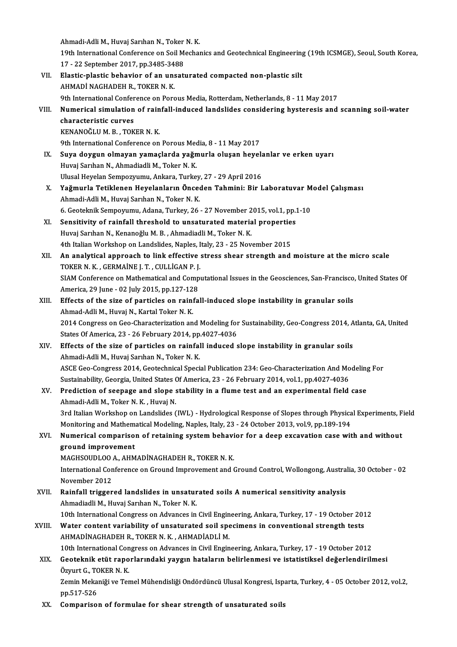Ahmadi-Adli M., Huvaj Sarıhan N., Toker N. K.<br>19th International Cenference en Seil Mecher 19th International Conference on Soil Mechanics and Geotechnical Engineering (19th ICSMGE), Seoul, South Korea,<br>17 - 22 September 2017, pp.3485-3488 Ahmadi-Adli M., Huvaj Sarıhan N., Toker<br>19th International Conference on Soil M<br>17 - 22 September 2017, pp.3485-3488<br>Electic plestic behavior of an uncett 19th International Conference on Soil Mechanics and Geotechnical Engineering<br>17 - 22 September 2017, pp.3485-3488<br>VII. Elastic-plastic behavior of an unsaturated compacted non-plastic silt<br>AUMADI NACHADEH B. TOKER N.K. 17 - 22 September 2017, pp.3485-34<br>Elastic-plastic behavior of an uns<br>AHMADİ NAGHADEH R., TOKER N. K.<br>9th International Conference on Borg AHMADİ NAGHADEH R., TOKER N. K.<br>9th International Conference on Porous Media, Rotterdam, Netherlands, 8 - 11 May 2017 AHMADİ NAGHADEH R., TOKER N. K.<br>9th International Conference on Porous Media, Rotterdam, Netherlands, 8 - 11 May 2017<br>VIII. Numerical simulation of rainfall-induced landslides considering hysteresis and scanning soil-w **9th International Confer<br>Numerical simulation<br>characteristic curves<br>KENANOČLUM B\_TOK Numerical simulation of rain<br>characteristic curves<br>KENANOĞLUM.B., TOKER N.K.**<br>9th International Conference on characteristic curves<br>KENANOĞLU M. B. , TOKER N. K.<br>9th International Conference on Porous Media, 8 - 11 May 2017<br>Suve dovaun olmayan yamaslarda yağmurla olusan bayal KENANOĞLU M. B., TOKER N. K.<br>9th International Conference on Porous Media, 8 - 11 May 2017<br>IX. Suya doygun olmayan yamaçlarda yağmurla oluşan heyelanlar ve erken uyarı<br>Huygi Sarıban N. Ahmadiadli M. Toker N. K. 9th International Conference on Porous Mec<br>Suya doygun olmayan yamaçlarda yağın<br>Huvaj Sarıhan N., Ahmadiadli M., Toker N. K.<br>Hlusel Hevelan Semnezuumu, Ankara Turke Suya doygun olmayan yamaçlarda yağmurla oluşan heyel:<br>Huvaj Sarıhan N., Ahmadiadli M., Toker N. K.<br>Ulusal Heyelan Sempozyumu, Ankara, Turkey, 27 - 29 April 2016<br>Yoğmurla Tetiklenen Heyelenlerın Önseden Tehmini, Bir I Huvaj Sarıhan N., Ahmadiadli M., Toker N. K.<br>Ulusal Heyelan Sempozyumu, Ankara, Turkey, 27 - 29 April 2016<br>X. Yağmurla Tetiklenen Heyelanların Önceden Tahmini: Bir Laboratuvar Model Çalışması<br>Ahmadi Adli M. Huygi Sanban N. Ulusal Heyelan Sempozyumu, Ankara, Turkey<br>**Yağmurla Tetiklenen Heyelanların Önce**d<br>Ahmadi-Adli M., Huvaj Sarıhan N., Toker N. K.<br>6. Cestelmik Semperumu, Adapa Turkey, 26. Yağmurla Tetiklenen Heyelanların Önceden Tahmini: Bir Laboratuvar M<br>Ahmadi-Adli M., Huvaj Sarıhan N., Toker N. K.<br>6. Geoteknik Sempoyumu, Adana, Turkey, 26 - 27 November 2015, vol.1, pp.1-10<br>Sensitivity of nainfall thresho Ahmadi-Adli M., Huvaj Sarıhan N., Toker N. K.<br>6. Geoteknik Sempoyumu, Adana, Turkey, 26 - 27 November 2015, vol.1, pp.:<br>XI. Sensitivity of rainfall threshold to unsaturated material properties<br>Huvej Sarban N. Kananežh: M. 6. Geoteknik Sempoyumu, Adana, Turkey, 26 - 27 November 2015, vol.1, pp.1-10<br>Sensitivity of rainfall threshold to unsaturated material properties<br>Huvaj Sarıhan N., Kenanoğlu M. B., Ahmadiadli M., Toker N. K.<br>4th Italian Wo Sensitivity of rainfall threshold to unsaturated material propertie.<br>Huvaj Sarıhan N., Kenanoğlu M. B. , Ahmadiadli M., Toker N. K.<br>4th Italian Workshop on Landslides, Naples, Italy, 23 - 25 November 2015<br>An analytisal ann Huvaj Sarıhan N., Kenanoğlu M. B. , Ahmadiadli M., Toker N. K.<br>4th Italian Workshop on Landslides, Naples, Italy, 23 - 25 November 2015<br>XII. An analytical approach to link effective stress shear strength and moisture a 4th Italian Workshop on Landslides, Naples, I<br>An analytical approach to link effective<br>TOKER N. K. , GERMAİNE J. T. , CULLİGAN P. J.<br>SIAM Conference on Mathematical and Comp. An analytical approach to link effective stress shear strength and moisture at the micro scale<br>TOKER N. K. , GERMAINE J. T. , CULLIGAN P. J.<br>SIAM Conference on Mathematical and Computational Issues in the Geosciences, San-TOKER N. K. , GERMAINE J. T. , CULLIGAN P. J.<br>SIAM Conference on Mathematical and Computational Issues in the Geosciences, San-Francisco, United States Of<br>America, 29 June - 02 July 2015, pp.127-128 SIAM Conference on Mathematical and Computational Issues in the Geosciences, San-Francisco<br>America, 29 June - 02 July 2015, pp.127-128<br>XIII. Effects of the size of particles on rainfall-induced slope instability in granula America, 29 June - 02 July 2015, pp.127-12<br>Effects of the size of particles on raini<br>Ahmad-Adli M., Huvaj N., Kartal Toker N. K.<br>2014 Congress on Coo Characterization on Effects of the size of particles on rainfall-induced slope instability in granular soils<br>Ahmad-Adli M., Huvaj N., Kartal Toker N. K.<br>2014 Congress on Geo-Characterization and Modeling for Sustainability, Geo-Congress 2014, Ahmad-Adli M., Huvaj N., Kartal Toker N. K.<br>2014 Congress on Geo-Characterization and Modeling for<br>States Of America, 23 - 26 February 2014, pp.4027-4036<br>Effects of the size of particles on rainfall indused o States Of America, 23 - 26 February 2014, pp.4027-4036<br>XIV. Effects of the size of particles on rainfall induced slope instability in granular soils Ahmadi-Adli M., Huvaj Sarıhan N., Toker N. K. Effects of the size of particles on rainfall induced slope instability in granular soils<br>Ahmadi-Adli M., Huvaj Sarıhan N., Toker N. K.<br>ASCE Geo-Congress 2014, Geotechnical Special Publication 234: Geo-Characterization And Ahmadi-Adli M., Huvaj Sarıhan N., Toker N. K.<br>ASCE Geo-Congress 2014, Geotechnical Special Publication 234: Geo-Characterization And Mo<br>Sustainability, Georgia, United States Of America, 23 - 26 February 2014, vol.1, pp.40 ASCE Geo-Congress 2014, Geotechnical Special Publication 234: Geo-Characterization And Modeling<br>Sustainability, Georgia, United States Of America, 23 - 26 February 2014, vol.1, pp.4027-4036<br>XV. Prediction of seepage and sl Sustainability, Georgia, United States (<br>Prediction of seepage and slope s<br>Ahmadi-Adli M., Toker N. K. , Huvaj N.<br>2nd Italian Workshap on Landslides ( Prediction of seepage and slope stability in a flume test and an experimental field case<br>Ahmadi-Adli M., Toker N. K. , Huvaj N.<br>3rd Italian Workshop on Landslides (IWL) - Hydrological Response of Slopes through Physical Ex Ahmadi-Adli M., Toker N. K. , Huvaj N.<br>3rd Italian Workshop on Landslides (IWL) - Hydrological Response of Slopes through Physica<br>Monitoring and Mathematical Modeling, Naples, Italy, 23 - 24 October 2013, vol.9, pp.189-194 3rd Italian Workshop on Landslides (IWL) - Hydrological Response of Slopes through Physical Experiments, Field<br>Monitoring and Mathematical Modeling, Naples, Italy, 23 - 24 October 2013, vol.9, pp.189-194<br>XVI. Numerical com Monitoring and Mathem<br>Numerical compariso<br>ground improvement<br>MACHSOUDLOO A AHM Numerical comparison of retaining system behavi<br>ground improvement<br>MAGHSOUDLOO A., AHMADİNAGHADEH R., TOKER N. K.<br>International Conference en Cround Improvement and ( ground improvement<br>MAGHSOUDLOO A., AHMADİNAGHADEH R., TOKER N. K.<br>International Conference on Ground Improvement and Ground Control, Wollongong, Australia, 30 October - 02<br>Navember 2012 MAGHSOUDLOO<br>International Con<br>November 2012<br>Painfall trigger International Conference on Ground Improvement and Ground Control, Wollongong, Austra<br>November 2012<br>XVII. Rainfall triggered landslides in unsaturated soils A numerical sensitivity analysis<br>Ahmodiadli M. Huvai Sarhan N. To November 2012<br>Rainfall triggered landslides in unsaturated soils A numerical sensitivity analysis<br>Ahmadiadli M., Huvaj Sarıhan N., Toker N. K. 10th InternationalCongress onAdvances inCivilEngineering,Ankara,Turkey,17 -19October 2012 Ahmadiadli M., Huvaj Sarıhan N., Toker N. K.<br>10th International Congress on Advances in Civil Engineering, Ankara, Turkey, 17 - 19 October 201<br>XVIII. Water content variability of unsaturated soil specimens in conventional 10th International Congress on Advances in Civil Engin<br>Water content variability of unsaturated soil spe<br>AHMADİNAGHADEH R., TOKER N. K. , AHMADİADLİ M.<br>10th International Congress on Advances in Civil Engin Water content variability of unsaturated soil specimens in conventional strength tests<br>AHMADİNAGHADEH R., TOKER N. K. , AHMADİADLİ M.<br>10th International Congress on Advances in Civil Engineering, Ankara, Turkey, 17 - 19 Oc AHMADİNAGHADEH R., TOKER N. K. , AHMADİADLİ M.<br>10th International Congress on Advances in Civil Engineering, Ankara, Turkey, 17 - 19 October 2012<br>XIX. Geoteknik etüt raporlarındaki yaygın hataların belirlenmesi ve ista 10th International Con<br>Geoteknik etüt rapo<br>Özyurt G., TOKER N. K.<br>Zomin Mekaniği ve Ter Geoteknik etüt raporlarındaki yaygın hataların belirlenmesi ve istatistiksel değerlendirilmesi<br>Özyurt G., TOKER N. K.<br>Zemin Mekaniği ve Temel Mühendisliği Ondördüncü Ulusal Kongresi, Isparta, Turkey, 4 - 05 October 2012, v Özyurt G., TOKER N. K.<br>Zemin Mekaniği ve Temel Mühendisliği Ondördüncü Ulusal Kongresi, Isparta, Turkey, 4 - 05 October 2012, vol.2,<br>pp.517-526 XX. Comparison of formulae for shear strength of unsaturated soils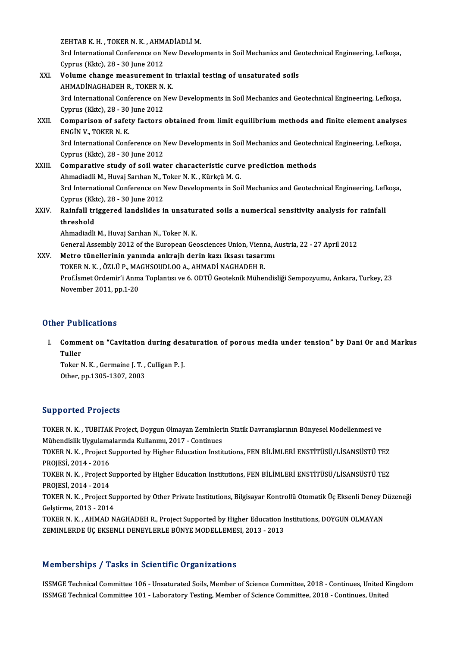ZEHTAB K.H., TOKER N. K., AHMADİADLİ M.<br>2rd International Conference on New Develor

ZEHTAB K. H. , TOKER N. K. , AHMADİADLİ M.<br>3rd International Conference on New Developments in Soil Mechanics and Geotechnical Engineering, Lefkoşa,<br>Cimrus (Klite), 38, 30 June 3012 ZEHTAB K. H. , TOKER N. K. , AHM.<br>3rd International Conference on N<br>Cyprus (Kktc), 28 - 30 June 2012<br>Volume change measurement 3rd International Conference on New Developments in Soil Mechanics and Ge<br>Cyprus (Kktc), 28 - 30 June 2012<br>XXI. Volume change measurement in triaxial testing of unsaturated soils<br>AUMADINACHADEU B TOKER N K Cyprus (Kktc),  $28 - 30$  June  $2012$ 

| XXI.   | Volume change measurement in triaxial testing of unsaturated soils                                        |
|--------|-----------------------------------------------------------------------------------------------------------|
|        | AHMADINAGHADEH R., TOKER N. K.                                                                            |
|        | 3rd International Conference on New Developments in Soil Mechanics and Geotechnical Engineering, Lefkoșa, |
|        | Cyprus (Kktc), 28 - 30 June 2012                                                                          |
| XXII.  | Comparison of safety factors obtained from limit equilibrium methods and finite element analyses          |
|        | ENGIN V., TOKER N. K.                                                                                     |
|        | 3rd International Conference on New Developments in Soil Mechanics and Geotechnical Engineering, Lefkoșa, |
|        | Cyprus (Kktc), 28 - 30 June 2012                                                                          |
| XXIII. | Comparative study of soil water characteristic curve prediction methods                                   |
|        | Ahmadiadli M., Huvaj Sarıhan N., Toker N. K., Kürkçü M. G.                                                |
|        | 3rd International Conference on New Developments in Soil Mechanics and Geotechnical Engineering, Lefkoșa, |
|        | Cyprus (Kktc), 28 - 30 June 2012                                                                          |
| XXIV.  | Rainfall triggered landslides in unsaturated soils a numerical sensitivity analysis for rainfall          |
|        | threshold                                                                                                 |
|        | Ahmadiadli M., Huvaj Sarıhan N., Toker N. K.                                                              |
|        | General Assembly 2012 of the European Geosciences Union, Vienna, Austria, 22 - 27 April 2012              |
| XXV.   | Metro tünellerinin yanında ankrajlı derin kazı iksası tasarımı                                            |
|        | TOKER N. K., ÖZLÜ P., MAGHSOUDLOO A., AHMADİ NAGHADEH R.                                                  |
|        | Prof.İsmet Ordemir'i Anma Toplantısı ve 6. ODTÜ Geoteknik Mühendisliği Sempozyumu, Ankara, Turkey, 23     |
|        | $N$ <sub>a</sub> $m$ <sub>h</sub> $n \cdot 7011$ nn $1.20$                                                |

November 2011,pp.1-20

## Other Publications

ther Publications<br>I. Comment on "Cavitation during desaturation of porous media under tension" by Dani Or and Markus<br>Tuller r r ab<br>Comme<br>Tuller<br>Teker <sup>r</sup> Comment on "Cavitation during des<br>Tuller<br>Toker N. K. , Germaine J. T. , Culligan P. J.<br>Other nn 1205 1207 2002

Tuller<br>Toker N. K. , Germaine J. T. , Culligan P. J.<br>Other, pp.1305-1307, 2003

## Supported Projects

Supported Projects<br>TOKER N. K. , TUBITAK Project, Doygun Olmayan Zeminlerin Statik Davranışlarının Bünyesel Modellenmesi ve<br>Mühandislik Uvgulamalarında Kullanımı, 2017, "Cartinues Mühendislik Uygulamalarında Kullanımı, 2017 - Continuer<br>Mühendislik Uygulamalarında Kullanımı, 2017 - Continues<br>TOKER N. K., Preject Sunnerted by Higher Education Instit TOKER N. K. , Project Supported by Higher Education Institutions, FEN BİLİMLERİ ENSTİTÜSÜ/LİSANSÜSTÜ TEZ<br>PROJESİ, 2014 - 2016 Mühendislik Uygulamalarında Kullanımı, 2017 - Continues TOKER N. K. , Project Supported by Higher Education Institutions, FEN BİLİMLERİ ENSTİTÜSÜ/LİSANSÜSTÜ TEZ<br>PROJESİ, 2014 - 2016<br>TOKER N. K. , Project Supported by Higher Education Institutions, FEN BİLİMLERİ ENSTİTÜSÜ/LİSANS PROJESİ, 2014 - 2016<br>TOKER N. K. , Project S<br>PROJESİ, 2014 - 2014<br>TOKER N. K. , Project S TOKER N. K. , Project Supported by Higher Education Institutions, FEN BİLİMLERİ ENSTİTÜSÜ/LİSANSÜSTÜ TEZ<br>PROJESİ, 2014 - 2014<br>TOKER N. K. , Project Supported by Other Private Institutions, Bilgisayar Kontrollü Otomatik Üç PROJESİ, 2014 - 2014<br>TOKER N. K. , Project Su<br>Gelştirme, 2013 - 2014<br>TOKER N. K. , AHMAD N TOKER N. K. , Project Supported by Other Private Institutions, Bilgisayar Kontrollü Otomatik Üç Eksenli Deney D<br>Gelştirme, 2013 - 2014<br>TOKER N. K. , AHMAD NAGHADEH R., Project Supported by Higher Education Institutions, DO Gelştirme, 2013 - 2014<br>TOKER N. K. , AHMAD NAGHADEH R., Project Supported by Higher Education Institutions, DOYGUN OLMAYAN<br>ZEMINLERDE ÜÇ EKSENLI DENEYLERLE BÜNYE MODELLEMESI, 2013 - 2013

## Memberships / Tasks in Scientific Organizations

Memberships / Tasks in Scientific Organizations<br>ISSMGE Technical Committee 106 - Unsaturated Soils, Member of Science Committee, 2018 - Continues, United Kingdom<br>ISSMGE Technical Committee 101 - Laboratory Testing Member o ISSMGE Technical Committee 106 - Unsaturated Soils, Member of Science Committee, 2018 - Continues, United K<br>ISSMGE Technical Committee 101 - Laboratory Testing, Member of Science Committee, 2018 - Continues, United<br>ISSMGE